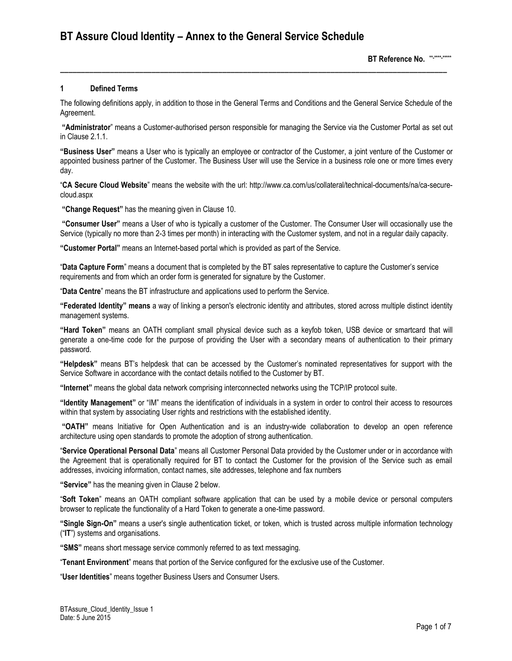# **1 Defined Terms**

The following definitions apply, in addition to those in the General Terms and Conditions and the General Service Schedule of the Agreement.

**\_\_\_\_\_\_\_\_\_\_\_\_\_\_\_\_\_\_\_\_\_\_\_\_\_\_\_\_\_\_\_\_\_\_\_\_\_\_\_\_\_\_\_\_\_\_\_\_\_\_\_\_\_\_\_\_\_\_\_\_\_\_\_\_\_\_\_\_\_\_\_\_\_\_\_\_\_\_\_\_\_\_\_\_\_\_\_\_\_\_\_\_\_**

**"Administrator**" means a Customer-authorised person responsible for managing the Service via the Customer Portal as set out in Clause 2.1.1.

**"Business User"** means a User who is typically an employee or contractor of the Customer, a joint venture of the Customer or appointed business partner of the Customer. The Business User will use the Service in a business role one or more times every day.

"**CA Secure Cloud Website**" means the website with the url: http://www.ca.com/us/collateral/technical-documents/na/ca-securecloud.aspx

**"Change Request"** has the meaning given in Clause 10.

**"Consumer User"** means a User of who is typically a customer of the Customer. The Consumer User will occasionally use the Service (typically no more than 2-3 times per month) in interacting with the Customer system, and not in a regular daily capacity.

**"Customer Portal"** means an Internet-based portal which is provided as part of the Service.

"**Data Capture Form**" means a document that is completed by the BT sales representative to capture the Customer's service requirements and from which an order form is generated for signature by the Customer.

"**Data Centre**" means the BT infrastructure and applications used to perform the Service.

**"Federated Identity" means** a way of linking a person's electronic identity and attributes, stored across multiple distinct identity management systems.

**"Hard Token"** means an OATH compliant small physical device such as a keyfob token, USB device or smartcard that will generate a one-time code for the purpose of providing the User with a secondary means of authentication to their primary password.

**"Helpdesk"** means BT's helpdesk that can be accessed by the Customer's nominated representatives for support with the Service Software in accordance with the contact details notified to the Customer by BT.

**"Internet"** means the global data network comprising interconnected networks using the TCP/IP protocol suite.

**"Identity Management"** or "IM" means the identification of individuals in a system in order to control their access to resources within that system by associating User rights and restrictions with the established identity.

**"OATH"** means Initiative for Open Authentication and is an industry-wide collaboration to develop an open reference architecture using open standards to promote the adoption of strong authentication.

"**Service Operational Personal Data**" means all Customer Personal Data provided by the Customer under or in accordance with the Agreement that is operationally required for BT to contact the Customer for the provision of the Service such as email addresses, invoicing information, contact names, site addresses, telephone and fax numbers

**"Service"** has the meaning given in Clause 2 below.

"**Soft Token**" means an OATH compliant software application that can be used by a mobile device or personal computers browser to replicate the functionality of a Hard Token to generate a one-time password.

**"Single Sign-On"** means a user's single authentication ticket, or token, which is trusted across multiple information technology ("**IT**") systems and organisations.

**"SMS"** means short message service commonly referred to as text messaging.

"**Tenant Environment**" means that portion of the Service configured for the exclusive use of the Customer.

"**User Identities**" means together Business Users and Consumer Users.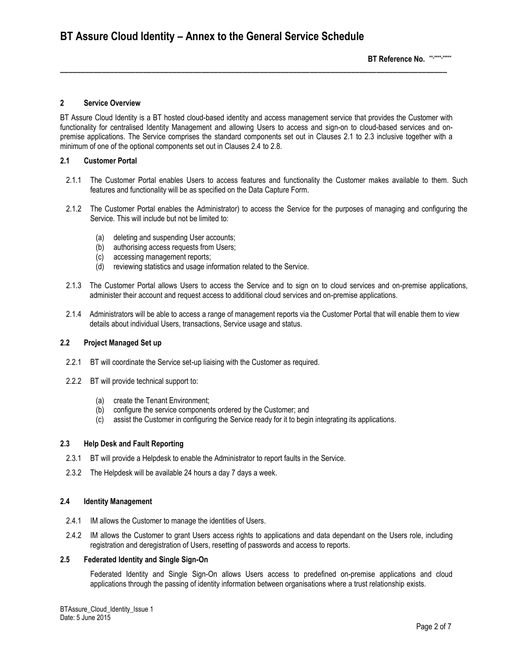# **2 Service Overview**

BT Assure Cloud Identity is a BT hosted cloud-based identity and access management service that provides the Customer with functionality for centralised Identity Management and allowing Users to access and sign-on to cloud-based services and onpremise applications. The Service comprises the standard components set out in Clauses 2.1 to 2.3 inclusive together with a minimum of one of the optional components set out in Clauses 2.4 to 2.8.

**\_\_\_\_\_\_\_\_\_\_\_\_\_\_\_\_\_\_\_\_\_\_\_\_\_\_\_\_\_\_\_\_\_\_\_\_\_\_\_\_\_\_\_\_\_\_\_\_\_\_\_\_\_\_\_\_\_\_\_\_\_\_\_\_\_\_\_\_\_\_\_\_\_\_\_\_\_\_\_\_\_\_\_\_\_\_\_\_\_\_\_\_\_**

# **2.1 Customer Portal**

- 2.1.1 The Customer Portal enables Users to access features and functionality the Customer makes available to them. Such features and functionality will be as specified on the Data Capture Form.
- 2.1.2 The Customer Portal enables the Administrator) to access the Service for the purposes of managing and configuring the Service. This will include but not be limited to:
	- (a) deleting and suspending User accounts;
	- (b) authorising access requests from Users;
	- (c) accessing management reports;
	- (d) reviewing statistics and usage information related to the Service.
- 2.1.3 The Customer Portal allows Users to access the Service and to sign on to cloud services and on-premise applications, administer their account and request access to additional cloud services and on-premise applications.
- 2.1.4 Administrators will be able to access a range of management reports via the Customer Portal that will enable them to view details about individual Users, transactions, Service usage and status.

### **2.2 Project Managed Set up**

- 2.2.1 BT will coordinate the Service set-up liaising with the Customer as required.
- 2.2.2 BT will provide technical support to:
	- (a) create the Tenant Environment;
	- (b) configure the service components ordered by the Customer; and
	- (c) assist the Customer in configuring the Service ready for it to begin integrating its applications.

# **2.3 Help Desk and Fault Reporting**

- 2.3.1 BT will provide a Helpdesk to enable the Administrator to report faults in the Service.
- 2.3.2 The Helpdesk will be available 24 hours a day 7 days a week.

### **2.4 Identity Management**

- 2.4.1 IM allows the Customer to manage the identities of Users.
- 2.4.2 IM allows the Customer to grant Users access rights to applications and data dependant on the Users role, including registration and deregistration of Users, resetting of passwords and access to reports.

### **2.5 Federated Identity and Single Sign-On**

Federated Identity and Single Sign-On allows Users access to predefined on-premise applications and cloud applications through the passing of identity information between organisations where a trust relationship exists.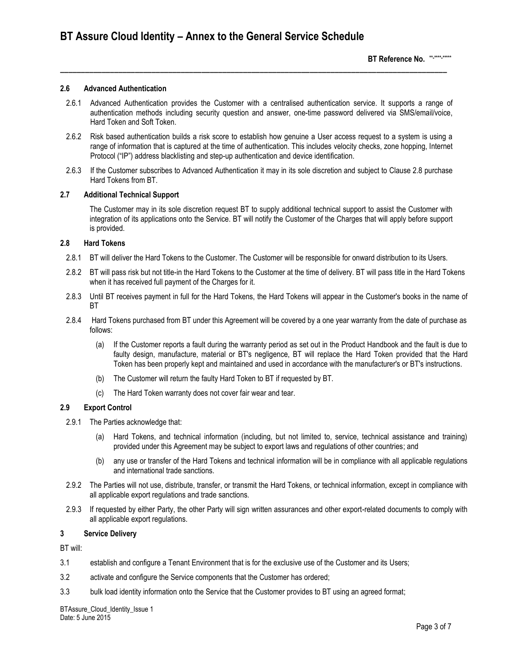### **2.6 Advanced Authentication**

2.6.1 Advanced Authentication provides the Customer with a centralised authentication service. It supports a range of authentication methods including security question and answer, one-time password delivered via SMS/email/voice, Hard Token and Soft Token.

**\_\_\_\_\_\_\_\_\_\_\_\_\_\_\_\_\_\_\_\_\_\_\_\_\_\_\_\_\_\_\_\_\_\_\_\_\_\_\_\_\_\_\_\_\_\_\_\_\_\_\_\_\_\_\_\_\_\_\_\_\_\_\_\_\_\_\_\_\_\_\_\_\_\_\_\_\_\_\_\_\_\_\_\_\_\_\_\_\_\_\_\_\_**

- 2.6.2 Risk based authentication builds a risk score to establish how genuine a User access request to a system is using a range of information that is captured at the time of authentication. This includes velocity checks, zone hopping, Internet Protocol ("IP") address blacklisting and step-up authentication and device identification.
- 2.6.3 If the Customer subscribes to Advanced Authentication it may in its sole discretion and subject to Clause 2.8 purchase Hard Tokens from BT.

### **2.7 Additional Technical Support**

The Customer may in its sole discretion request BT to supply additional technical support to assist the Customer with integration of its applications onto the Service. BT will notify the Customer of the Charges that will apply before support is provided.

# **2.8 Hard Tokens**

- 2.8.1 BT will deliver the Hard Tokens to the Customer. The Customer will be responsible for onward distribution to its Users.
- 2.8.2 BT will pass risk but not title-in the Hard Tokens to the Customer at the time of delivery. BT will pass title in the Hard Tokens when it has received full payment of the Charges for it.
- 2.8.3 Until BT receives payment in full for the Hard Tokens, the Hard Tokens will appear in the Customer's books in the name of BT
- 2.8.4 Hard Tokens purchased from BT under this Agreement will be covered by a one year warranty from the date of purchase as follows:
	- (a) If the Customer reports a fault during the warranty period as set out in the Product Handbook and the fault is due to faulty design, manufacture, material or BT's negligence, BT will replace the Hard Token provided that the Hard Token has been properly kept and maintained and used in accordance with the manufacturer's or BT's instructions.
	- (b) The Customer will return the faulty Hard Token to BT if requested by BT.
	- (c) The Hard Token warranty does not cover fair wear and tear.

### **2.9 Export Control**

- 2.9.1 The Parties acknowledge that:
	- (a) Hard Tokens, and technical information (including, but not limited to, service, technical assistance and training) provided under this Agreement may be subject to export laws and regulations of other countries; and
	- (b) any use or transfer of the Hard Tokens and technical information will be in compliance with all applicable regulations and international trade sanctions.
- 2.9.2 The Parties will not use, distribute, transfer, or transmit the Hard Tokens, or technical information, except in compliance with all applicable export regulations and trade sanctions.
- 2.9.3 If requested by either Party, the other Party will sign written assurances and other export-related documents to comply with all applicable export regulations.

### **3 Service Delivery**

BT will:

- 3.1 establish and configure a Tenant Environment that is for the exclusive use of the Customer and its Users;
- 3.2 activate and configure the Service components that the Customer has ordered;
- 3.3 bulk load identity information onto the Service that the Customer provides to BT using an agreed format;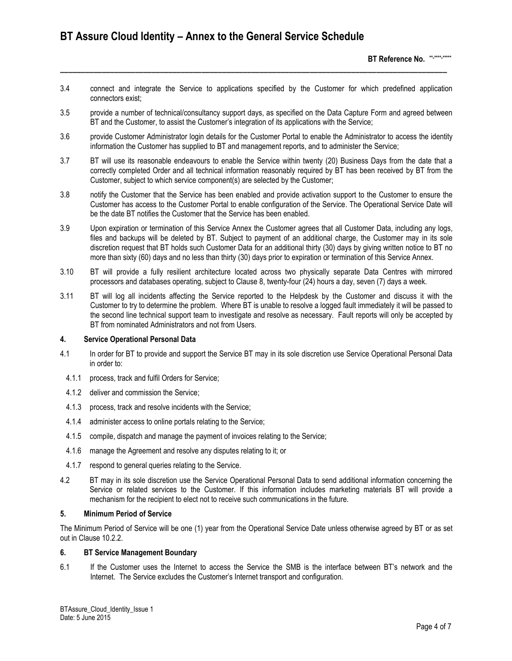# **BT Assure Cloud Identity – Annex to the General Service Schedule**

**BT Reference No. \*\*-\*\*\*\*-\*\*\*\*\***

3.4 connect and integrate the Service to applications specified by the Customer for which predefined application connectors exist;

**\_\_\_\_\_\_\_\_\_\_\_\_\_\_\_\_\_\_\_\_\_\_\_\_\_\_\_\_\_\_\_\_\_\_\_\_\_\_\_\_\_\_\_\_\_\_\_\_\_\_\_\_\_\_\_\_\_\_\_\_\_\_\_\_\_\_\_\_\_\_\_\_\_\_\_\_\_\_\_\_\_\_\_\_\_\_\_\_\_\_\_\_\_**

- 3.5 provide a number of technical/consultancy support days, as specified on the Data Capture Form and agreed between BT and the Customer, to assist the Customer's integration of its applications with the Service;
- 3.6 provide Customer Administrator login details for the Customer Portal to enable the Administrator to access the identity information the Customer has supplied to BT and management reports, and to administer the Service;
- 3.7 BT will use its reasonable endeavours to enable the Service within twenty (20) Business Days from the date that a correctly completed Order and all technical information reasonably required by BT has been received by BT from the Customer, subject to which service component(s) are selected by the Customer;
- 3.8 notify the Customer that the Service has been enabled and provide activation support to the Customer to ensure the Customer has access to the Customer Portal to enable configuration of the Service. The Operational Service Date will be the date BT notifies the Customer that the Service has been enabled.
- 3.9 Upon expiration or termination of this Service Annex the Customer agrees that all Customer Data, including any logs, files and backups will be deleted by BT. Subject to payment of an additional charge, the Customer may in its sole discretion request that BT holds such Customer Data for an additional thirty (30) days by giving written notice to BT no more than sixty (60) days and no less than thirty (30) days prior to expiration or termination of this Service Annex.
- 3.10 BT will provide a fully resilient architecture located across two physically separate Data Centres with mirrored processors and databases operating, subject to Clause 8, twenty-four (24) hours a day, seven (7) days a week.
- 3.11 BT will log all incidents affecting the Service reported to the Helpdesk by the Customer and discuss it with the Customer to try to determine the problem. Where BT is unable to resolve a logged fault immediately it will be passed to the second line technical support team to investigate and resolve as necessary. Fault reports will only be accepted by BT from nominated Administrators and not from Users.

# **4. Service Operational Personal Data**

- 4.1 In order for BT to provide and support the Service BT may in its sole discretion use Service Operational Personal Data in order to:
	- 4.1.1 process, track and fulfil Orders for Service;
	- 4.1.2 deliver and commission the Service;
	- 4.1.3 process, track and resolve incidents with the Service;
	- 4.1.4 administer access to online portals relating to the Service;
	- 4.1.5 compile, dispatch and manage the payment of invoices relating to the Service;
	- 4.1.6 manage the Agreement and resolve any disputes relating to it; or
- 4.1.7 respond to general queries relating to the Service.
- 4.2 BT may in its sole discretion use the Service Operational Personal Data to send additional information concerning the Service or related services to the Customer. If this information includes marketing materials BT will provide a mechanism for the recipient to elect not to receive such communications in the future.

# **5. Minimum Period of Service**

The Minimum Period of Service will be one (1) year from the Operational Service Date unless otherwise agreed by BT or as set out in Clause 10.2.2.

# **6. BT Service Management Boundary**

6.1 If the Customer uses the Internet to access the Service the SMB is the interface between BT's network and the Internet. The Service excludes the Customer's Internet transport and configuration.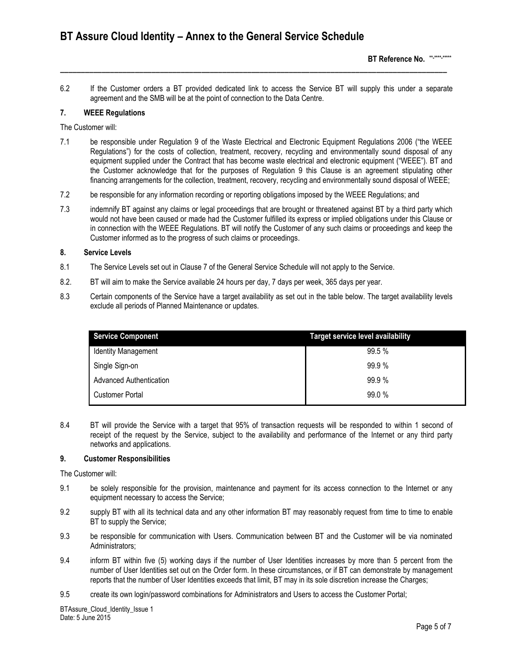6.2 If the Customer orders a BT provided dedicated link to access the Service BT will supply this under a separate agreement and the SMB will be at the point of connection to the Data Centre.

**\_\_\_\_\_\_\_\_\_\_\_\_\_\_\_\_\_\_\_\_\_\_\_\_\_\_\_\_\_\_\_\_\_\_\_\_\_\_\_\_\_\_\_\_\_\_\_\_\_\_\_\_\_\_\_\_\_\_\_\_\_\_\_\_\_\_\_\_\_\_\_\_\_\_\_\_\_\_\_\_\_\_\_\_\_\_\_\_\_\_\_\_\_**

### **7. WEEE Regulations**

The Customer will:

- 7.1 be responsible under Regulation 9 of the Waste Electrical and Electronic Equipment Regulations 2006 ("the WEEE Regulations") for the costs of collection, treatment, recovery, recycling and environmentally sound disposal of any equipment supplied under the Contract that has become waste electrical and electronic equipment ("WEEE"). BT and the Customer acknowledge that for the purposes of Regulation 9 this Clause is an agreement stipulating other financing arrangements for the collection, treatment, recovery, recycling and environmentally sound disposal of WEEE;
- 7.2 be responsible for any information recording or reporting obligations imposed by the WEEE Regulations; and
- 7.3 indemnify BT against any claims or legal proceedings that are brought or threatened against BT by a third party which would not have been caused or made had the Customer fulfilled its express or implied obligations under this Clause or in connection with the WEEE Regulations. BT will notify the Customer of any such claims or proceedings and keep the Customer informed as to the progress of such claims or proceedings.

# **8. Service Levels**

- 8.1 The Service Levels set out in Clause 7 of the General Service Schedule will not apply to the Service.
- 8.2. BT will aim to make the Service available 24 hours per day, 7 days per week, 365 days per year.
- 8.3 Certain components of the Service have a target availability as set out in the table below. The target availability levels exclude all periods of Planned Maintenance or updates.

| <b>Service Component</b>       | <b>Target service level availability</b> |
|--------------------------------|------------------------------------------|
| <b>Identity Management</b>     | 99.5%                                    |
| Single Sign-on                 | 99.9%                                    |
| <b>Advanced Authentication</b> | 99.9%                                    |
| Customer Portal                | 99.0%                                    |

8.4 BT will provide the Service with a target that 95% of transaction requests will be responded to within 1 second of receipt of the request by the Service, subject to the availability and performance of the Internet or any third party networks and applications.

### **9. Customer Responsibilities**

The Customer will:

- 9.1 be solely responsible for the provision, maintenance and payment for its access connection to the Internet or any equipment necessary to access the Service;
- 9.2 supply BT with all its technical data and any other information BT may reasonably request from time to time to enable BT to supply the Service;
- 9.3 be responsible for communication with Users. Communication between BT and the Customer will be via nominated Administrators;
- 9.4 inform BT within five (5) working days if the number of User Identities increases by more than 5 percent from the number of User Identities set out on the Order form. In these circumstances, or if BT can demonstrate by management reports that the number of User Identities exceeds that limit, BT may in its sole discretion increase the Charges;
- 9.5 create its own login/password combinations for Administrators and Users to access the Customer Portal;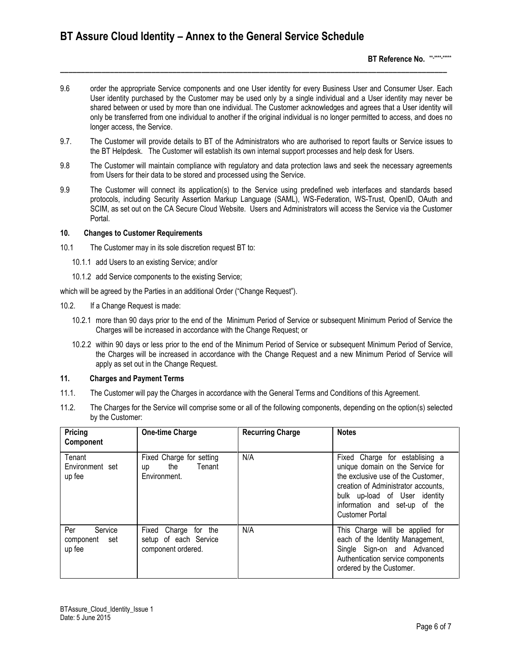9.6 order the appropriate Service components and one User identity for every Business User and Consumer User. Each User identity purchased by the Customer may be used only by a single individual and a User identity may never be shared between or used by more than one individual. The Customer acknowledges and agrees that a User identity will only be transferred from one individual to another if the original individual is no longer permitted to access, and does no longer access, the Service.

**\_\_\_\_\_\_\_\_\_\_\_\_\_\_\_\_\_\_\_\_\_\_\_\_\_\_\_\_\_\_\_\_\_\_\_\_\_\_\_\_\_\_\_\_\_\_\_\_\_\_\_\_\_\_\_\_\_\_\_\_\_\_\_\_\_\_\_\_\_\_\_\_\_\_\_\_\_\_\_\_\_\_\_\_\_\_\_\_\_\_\_\_\_**

- 9.7. The Customer will provide details to BT of the Administrators who are authorised to report faults or Service issues to the BT Helpdesk. The Customer will establish its own internal support processes and help desk for Users.
- 9.8 The Customer will maintain compliance with regulatory and data protection laws and seek the necessary agreements from Users for their data to be stored and processed using the Service.
- 9.9 The Customer will connect its application(s) to the Service using predefined web interfaces and standards based protocols, including Security Assertion Markup Language (SAML), WS-Federation, WS-Trust, OpenID, OAuth and SCIM, as set out on the CA Secure Cloud Website. Users and Administrators will access the Service via the Customer Portal.

### **10. Changes to Customer Requirements**

- 10.1 The Customer may in its sole discretion request BT to:
	- 10.1.1 add Users to an existing Service; and/or
	- 10.1.2 add Service components to the existing Service;

which will be agreed by the Parties in an additional Order ("Change Request").

- 10.2. If a Change Request is made:
	- 10.2.1 more than 90 days prior to the end of the Minimum Period of Service or subsequent Minimum Period of Service the Charges will be increased in accordance with the Change Request; or
	- 10.2.2 within 90 days or less prior to the end of the Minimum Period of Service or subsequent Minimum Period of Service, the Charges will be increased in accordance with the Change Request and a new Minimum Period of Service will apply as set out in the Change Request.

# **11. Charges and Payment Terms**

- 11.1. The Customer will pay the Charges in accordance with the General Terms and Conditions of this Agreement.
- 11.2. The Charges for the Service will comprise some or all of the following components, depending on the option(s) selected by the Customer:

| Pricing<br>Component                         | <b>One-time Charge</b>                                              | <b>Recurring Charge</b> | <b>Notes</b>                                                                                                                                                                                                                                |
|----------------------------------------------|---------------------------------------------------------------------|-------------------------|---------------------------------------------------------------------------------------------------------------------------------------------------------------------------------------------------------------------------------------------|
| Tenant<br>Environment set<br>up fee          | Fixed Charge for setting<br>the Tenant<br>up<br>Environment.        | N/A                     | Fixed Charge for establising a<br>unique domain on the Service for<br>the exclusive use of the Customer,<br>creation of Administrator accounts.<br>bulk up-load of User identity<br>information and set-up of the<br><b>Customer Portal</b> |
| Per<br>Service<br>component<br>set<br>up fee | Fixed Charge for the<br>setup of each Service<br>component ordered. | N/A                     | This Charge will be applied for<br>each of the Identity Management,<br>Single Sign-on and Advanced<br>Authentication service components<br>ordered by the Customer.                                                                         |